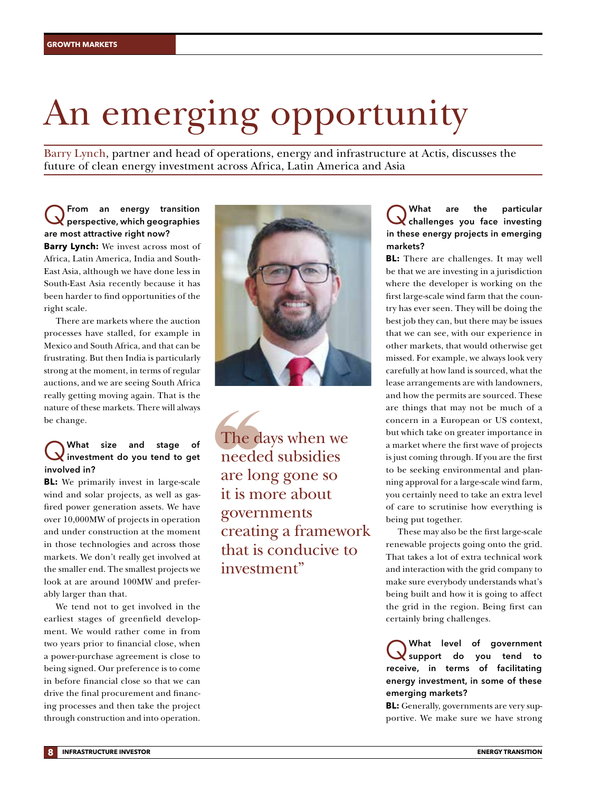# An emerging opportunity

Barry Lynch, partner and head of operations, energy and infrastructure at Actis, discusses the future of clean energy investment across Africa, Latin America and Asia

#### QFrom an energy transition perspective, which geographies are most attractive right now? **Barry Lynch:** We invest across most of

Africa, Latin America, India and South-East Asia, although we have done less in South-East Asia recently because it has been harder to find opportunities of the right scale.

There are markets where the auction processes have stalled, for example in Mexico and South Africa, and that can be frustrating. But then India is particularly strong at the moment, in terms of regular auctions, and we are seeing South Africa really getting moving again. That is the nature of these markets. There will always be change.

### What size and stage of<br>
Winvestment do you tend to get involved in?

**BL:** We primarily invest in large-scale wind and solar projects, as well as gasfired power generation assets. We have over 10,000MW of projects in operation and under construction at the moment in those technologies and across those markets. We don't really get involved at the smaller end. The smallest projects we look at are around 100MW and preferably larger than that.

We tend not to get involved in the earliest stages of greenfield development. We would rather come in from two years prior to financial close, when a power-purchase agreement is close to being signed. Our preference is to come in before financial close so that we can drive the final procurement and financing processes and then take the project through construction and into operation.



The days when we needed subsidies are long gone so it is more about governments creating a framework that is conducive to investment"

#### What are the particular<br>
Challenges you face investing in these energy projects in emerging markets?

**BL:** There are challenges. It may well be that we are investing in a jurisdiction where the developer is working on the first large-scale wind farm that the country has ever seen. They will be doing the best job they can, but there may be issues that we can see, with our experience in other markets, that would otherwise get missed. For example, we always look very carefully at how land is sourced, what the lease arrangements are with landowners, and how the permits are sourced. These are things that may not be much of a concern in a European or US context, but which take on greater importance in a market where the first wave of projects is just coming through. If you are the first to be seeking environmental and planning approval for a large-scale wind farm, you certainly need to take an extra level of care to scrutinise how everything is being put together.

These may also be the first large-scale renewable projects going onto the grid. That takes a lot of extra technical work and interaction with the grid company to make sure everybody understands what's being built and how it is going to affect the grid in the region. Being first can certainly bring challenges.

What level of government<br>
Support do you tend to receive, in terms of facilitating energy investment, in some of these emerging markets?

**BL:** Generally, governments are very supportive. We make sure we have strong